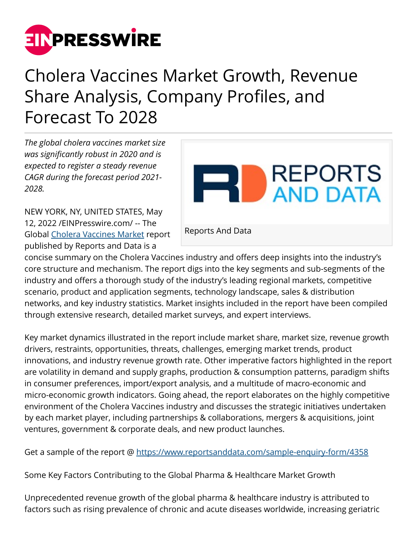

## Cholera Vaccines Market Growth, Revenue Share Analysis, Company Profiles, and Forecast To 2028

*The global cholera vaccines market size was significantly robust in 2020 and is expected to register a steady revenue CAGR during the forecast period 2021- 2028.*

NEW YORK, NY, UNITED STATES, May 12, 2022 /[EINPresswire.com/](http://www.einpresswire.com) -- The Global [Cholera Vaccines Market](https://www.reportsanddata.com/report-detail/cholera-vaccines-market) report published by Reports and Data is a



concise summary on the Cholera Vaccines industry and offers deep insights into the industry's core structure and mechanism. The report digs into the key segments and sub-segments of the industry and offers a thorough study of the industry's leading regional markets, competitive scenario, product and application segments, technology landscape, sales & distribution networks, and key industry statistics. Market insights included in the report have been compiled through extensive research, detailed market surveys, and expert interviews.

Key market dynamics illustrated in the report include market share, market size, revenue growth drivers, restraints, opportunities, threats, challenges, emerging market trends, product innovations, and industry revenue growth rate. Other imperative factors highlighted in the report are volatility in demand and supply graphs, production & consumption patterns, paradigm shifts in consumer preferences, import/export analysis, and a multitude of macro-economic and micro-economic growth indicators. Going ahead, the report elaborates on the highly competitive environment of the Cholera Vaccines industry and discusses the strategic initiatives undertaken by each market player, including partnerships & collaborations, mergers & acquisitions, joint ventures, government & corporate deals, and new product launches.

Get a sample of the report @<https://www.reportsanddata.com/sample-enquiry-form/4358>

Some Key Factors Contributing to the Global Pharma & Healthcare Market Growth

Unprecedented revenue growth of the global pharma & healthcare industry is attributed to factors such as rising prevalence of chronic and acute diseases worldwide, increasing geriatric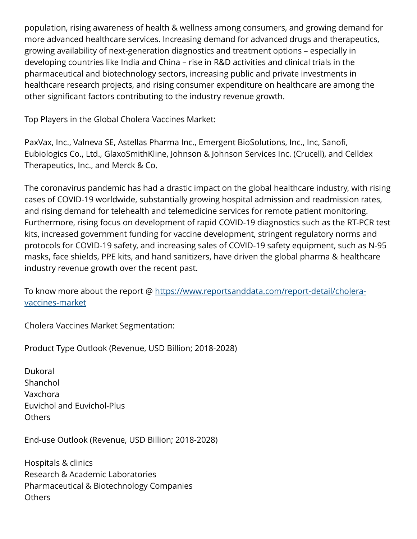population, rising awareness of health & wellness among consumers, and growing demand for more advanced healthcare services. Increasing demand for advanced drugs and therapeutics, growing availability of next-generation diagnostics and treatment options – especially in developing countries like India and China – rise in R&D activities and clinical trials in the pharmaceutical and biotechnology sectors, increasing public and private investments in healthcare research projects, and rising consumer expenditure on healthcare are among the other significant factors contributing to the industry revenue growth.

Top Players in the Global Cholera Vaccines Market:

PaxVax, Inc., Valneva SE, Astellas Pharma Inc., Emergent BioSolutions, Inc., Inc, Sanofi, Eubiologics Co., Ltd., GlaxoSmithKline, Johnson & Johnson Services Inc. (Crucell), and Celldex Therapeutics, Inc., and Merck & Co.

The coronavirus pandemic has had a drastic impact on the global healthcare industry, with rising cases of COVID-19 worldwide, substantially growing hospital admission and readmission rates, and rising demand for telehealth and telemedicine services for remote patient monitoring. Furthermore, rising focus on development of rapid COVID-19 diagnostics such as the RT-PCR test kits, increased government funding for vaccine development, stringent regulatory norms and protocols for COVID-19 safety, and increasing sales of COVID-19 safety equipment, such as N-95 masks, face shields, PPE kits, and hand sanitizers, have driven the global pharma & healthcare industry revenue growth over the recent past.

To know more about the report @ [https://www.reportsanddata.com/report-detail/cholera](https://www.reportsanddata.com/report-detail/cholera-vaccines-market)[vaccines-market](https://www.reportsanddata.com/report-detail/cholera-vaccines-market)

Cholera Vaccines Market Segmentation:

Product Type Outlook (Revenue, USD Billion; 2018-2028)

Dukoral Shanchol Vaxchora Euvichol and Euvichol-Plus **Others** 

End-use Outlook (Revenue, USD Billion; 2018-2028)

Hospitals & clinics Research & Academic Laboratories Pharmaceutical & Biotechnology Companies **Others**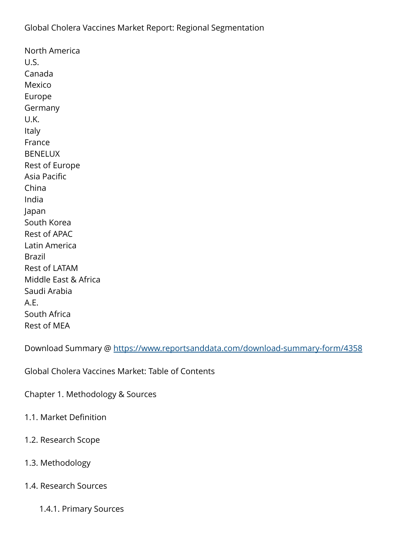North America U.S. Canada Mexico Europe **Germany** U.K. Italy France BENELUX Rest of Europe Asia Pacific China India Japan South Korea Rest of APAC Latin America Brazil Rest of LATAM Middle East & Africa Saudi Arabia A.E. South Africa Rest of MEA

Download Summary @ <https://www.reportsanddata.com/download-summary-form/4358>

Global Cholera Vaccines Market: Table of Contents

Chapter 1. Methodology & Sources

- 1.1. Market Definition
- 1.2. Research Scope
- 1.3. Methodology
- 1.4. Research Sources
	- 1.4.1. Primary Sources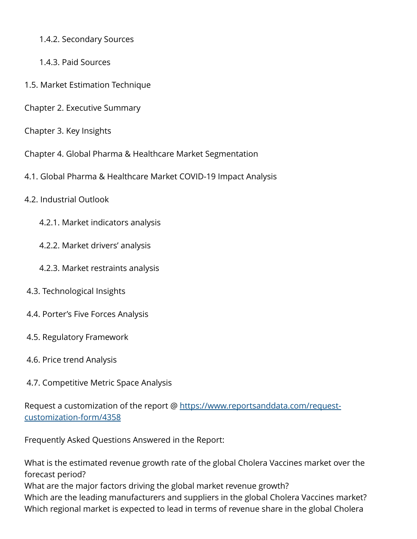- 1.4.2. Secondary Sources
- 1.4.3. Paid Sources
- 1.5. Market Estimation Technique
- Chapter 2. Executive Summary
- Chapter 3. Key Insights
- Chapter 4. Global Pharma & Healthcare Market Segmentation
- 4.1. Global Pharma & Healthcare Market COVID-19 Impact Analysis
- 4.2. Industrial Outlook
	- 4.2.1. Market indicators analysis
	- 4.2.2. Market drivers' analysis
	- 4.2.3. Market restraints analysis
- 4.3. Technological Insights
- 4.4. Porter's Five Forces Analysis
- 4.5. Regulatory Framework
- 4.6. Price trend Analysis
- 4.7. Competitive Metric Space Analysis

Request a customization of the report @ [https://www.reportsanddata.com/request](https://www.reportsanddata.com/request-customization-form/4358)[customization-form/4358](https://www.reportsanddata.com/request-customization-form/4358)

Frequently Asked Questions Answered in the Report:

What is the estimated revenue growth rate of the global Cholera Vaccines market over the forecast period? What are the major factors driving the global market revenue growth? Which are the leading manufacturers and suppliers in the global Cholera Vaccines market? Which regional market is expected to lead in terms of revenue share in the global Cholera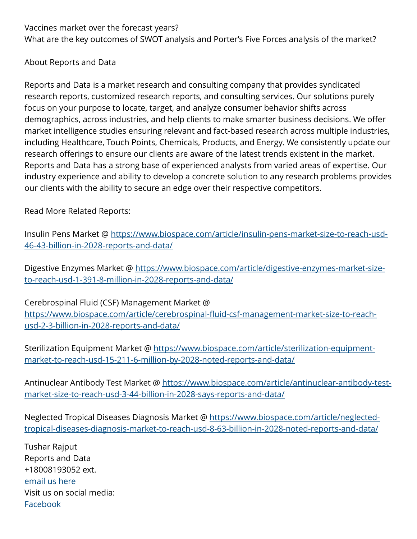Vaccines market over the forecast years? What are the key outcomes of SWOT analysis and Porter's Five Forces analysis of the market?

## About Reports and Data

Reports and Data is a market research and consulting company that provides syndicated research reports, customized research reports, and consulting services. Our solutions purely focus on your purpose to locate, target, and analyze consumer behavior shifts across demographics, across industries, and help clients to make smarter business decisions. We offer market intelligence studies ensuring relevant and fact-based research across multiple industries, including Healthcare, Touch Points, Chemicals, Products, and Energy. We consistently update our research offerings to ensure our clients are aware of the latest trends existent in the market. Reports and Data has a strong base of experienced analysts from varied areas of expertise. Our industry experience and ability to develop a concrete solution to any research problems provides our clients with the ability to secure an edge over their respective competitors.

Read More Related Reports:

Insulin Pens Market @ [https://www.biospace.com/article/insulin-pens-market-size-to-reach-usd-](https://www.biospace.com/article/insulin-pens-market-size-to-reach-usd-46-43-billion-in-2028-reports-and-data/)[46-43-billion-in-2028-reports-and-data/](https://www.biospace.com/article/insulin-pens-market-size-to-reach-usd-46-43-billion-in-2028-reports-and-data/)

Digestive Enzymes Market @ [https://www.biospace.com/article/digestive-enzymes-market-size](https://www.biospace.com/article/digestive-enzymes-market-size-to-reach-usd-1-391-8-million-in-2028-reports-and-data/)[to-reach-usd-1-391-8-million-in-2028-reports-and-data/](https://www.biospace.com/article/digestive-enzymes-market-size-to-reach-usd-1-391-8-million-in-2028-reports-and-data/)

Cerebrospinal Fluid (CSF) Management Market @ [https://www.biospace.com/article/cerebrospinal-fluid-csf-management-market-size-to-reach](https://www.biospace.com/article/cerebrospinal-fluid-csf-management-market-size-to-reach-usd-2-3-billion-in-2028-reports-and-data/)[usd-2-3-billion-in-2028-reports-and-data/](https://www.biospace.com/article/cerebrospinal-fluid-csf-management-market-size-to-reach-usd-2-3-billion-in-2028-reports-and-data/)

Sterilization Equipment Market @ [https://www.biospace.com/article/sterilization-equipment](https://www.biospace.com/article/sterilization-equipment-market-to-reach-usd-15-211-6-million-by-2028-noted-reports-and-data/)[market-to-reach-usd-15-211-6-million-by-2028-noted-reports-and-data/](https://www.biospace.com/article/sterilization-equipment-market-to-reach-usd-15-211-6-million-by-2028-noted-reports-and-data/)

Antinuclear Antibody Test Market @ [https://www.biospace.com/article/antinuclear-antibody-test](https://www.biospace.com/article/antinuclear-antibody-test-market-size-to-reach-usd-3-44-billion-in-2028-says-reports-and-data/)[market-size-to-reach-usd-3-44-billion-in-2028-says-reports-and-data/](https://www.biospace.com/article/antinuclear-antibody-test-market-size-to-reach-usd-3-44-billion-in-2028-says-reports-and-data/)

Neglected Tropical Diseases Diagnosis Market @ [https://www.biospace.com/article/neglected](https://www.biospace.com/article/neglected-tropical-diseases-diagnosis-market-to-reach-usd-8-63-billion-in-2028-noted-reports-and-data/)[tropical-diseases-diagnosis-market-to-reach-usd-8-63-billion-in-2028-noted-reports-and-data/](https://www.biospace.com/article/neglected-tropical-diseases-diagnosis-market-to-reach-usd-8-63-billion-in-2028-noted-reports-and-data/)

Tushar Rajput Reports and Data +18008193052 ext. [email us here](http://www.einpresswire.com/contact_author/3482596) Visit us on social media: [Facebook](https://www.facebook.com/reportsanddata)